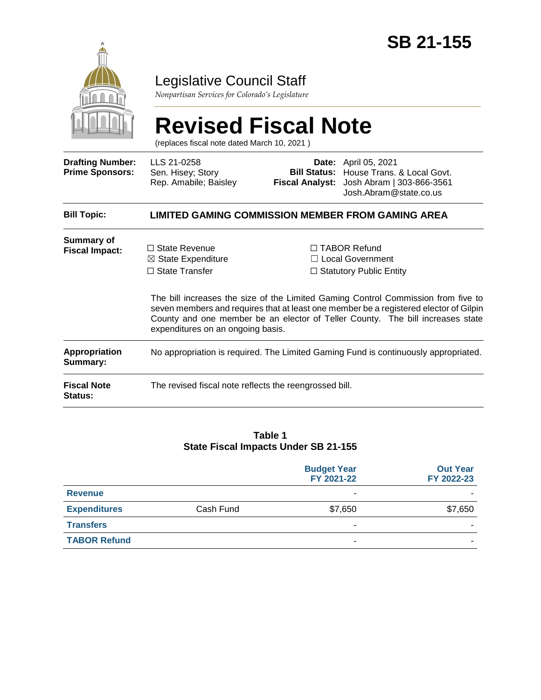

## Legislative Council Staff

*Nonpartisan Services for Colorado's Legislature*

# **Revised Fiscal Note**

(replaces fiscal note dated March 10, 2021 )

| <b>Drafting Number:</b><br><b>Prime Sponsors:</b> | LLS 21-0258<br>Sen. Hisey; Story<br>Rep. Amabile; Baisley                                                                                                                                                                                                                                         |  | <b>Date:</b> April 05, 2021<br>Bill Status: House Trans. & Local Govt.<br>Fiscal Analyst: Josh Abram   303-866-3561<br>Josh.Abram@state.co.us |  |
|---------------------------------------------------|---------------------------------------------------------------------------------------------------------------------------------------------------------------------------------------------------------------------------------------------------------------------------------------------------|--|-----------------------------------------------------------------------------------------------------------------------------------------------|--|
| <b>Bill Topic:</b>                                | LIMITED GAMING COMMISSION MEMBER FROM GAMING AREA                                                                                                                                                                                                                                                 |  |                                                                                                                                               |  |
| <b>Summary of</b><br><b>Fiscal Impact:</b>        | $\Box$ State Revenue<br>$\boxtimes$ State Expenditure<br>$\Box$ State Transfer                                                                                                                                                                                                                    |  | $\Box$ TABOR Refund<br>□ Local Government<br>$\Box$ Statutory Public Entity                                                                   |  |
|                                                   | The bill increases the size of the Limited Gaming Control Commission from five to<br>seven members and requires that at least one member be a registered elector of Gilpin<br>County and one member be an elector of Teller County. The bill increases state<br>expenditures on an ongoing basis. |  |                                                                                                                                               |  |
| <b>Appropriation</b><br>Summary:                  | No appropriation is required. The Limited Gaming Fund is continuously appropriated.                                                                                                                                                                                                               |  |                                                                                                                                               |  |
| <b>Fiscal Note</b><br><b>Status:</b>              | The revised fiscal note reflects the reengrossed bill.                                                                                                                                                                                                                                            |  |                                                                                                                                               |  |

#### **Table 1 State Fiscal Impacts Under SB 21-155**

|                     |           | <b>Budget Year</b><br>FY 2021-22 | <b>Out Year</b><br>FY 2022-23 |
|---------------------|-----------|----------------------------------|-------------------------------|
| <b>Revenue</b>      |           | ٠                                |                               |
| <b>Expenditures</b> | Cash Fund | \$7,650                          | \$7,650                       |
| <b>Transfers</b>    |           | ٠                                |                               |
| <b>TABOR Refund</b> |           | ٠                                |                               |